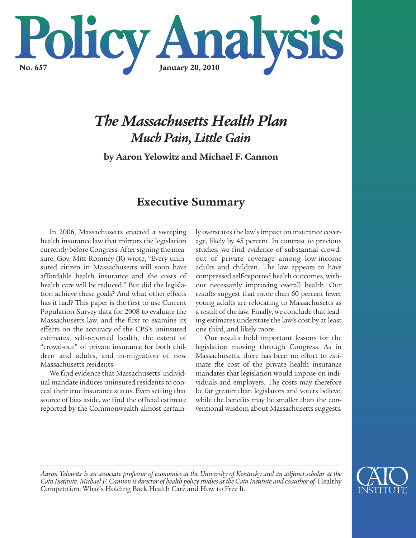

# *The Massachusetts Health Plan Much Pain, Little Gain*

**by Aaron Yelowitz and Michael F. Cannon**

## **Executive Summary**

In 2006, Massachusetts enacted a sweeping health insurance law that mirrors the legislation currently before Congress. After signing the measure, Gov. Mitt Romney (R) wrote, "Every uninsured citizen in Massachusetts will soon have affordable health insurance and the costs of health care will be reduced." But did the legislation achieve these goals? And what other effects has it had? This paper is the first to use Current Population Survey data for 2008 to evaluate the Massachusetts law, and the first to examine its effects on the accuracy of the CPS's uninsured estimates, self-reported health, the extent of "crowd-out" of private insurance for both children and adults, and in-migration of new Massachusetts residents.

We find evidence that Massachusetts' individual mandate induces uninsured residents to conceal their true insurance status. Even setting that source of bias aside, we find the official estimate reported by the Commonwealth almost certainly overstates the law's impact on insurance coverage, likely by 45 percent. In contrast to previous studies, we find evidence of substantial crowdout of private coverage among low-income adults and children. The law appears to have compressed self-reported health outcomes, without necessarily improving overall health. Our results suggest that more than 60 percent fewer young adults are relocating to Massachusetts as a result of the law. Finally, we conclude that leading estimates understate the law's cost by at least one third, and likely more.

Our results hold important lessons for the legislation moving through Congress. As in Massachusetts, there has been no effort to estimate the cost of the private health insurance mandates that legislation would impose on individuals and employers. The costs may therefore be far greater than legislators and voters believe, while the benefits may be smaller than the conventional wisdom about Massachusetts suggests.



Aaron Yelowitz is an associate professor of economics at the University of Kentucky and an adjunct scholar at the Cato Institute. Michael F. Cannon is director of health policy studies at the Cato Institute and coauthor of Healthy Competition: What's Holding Back Health Care and How to Free It*.*

*\_\_\_\_\_\_\_\_\_\_\_\_\_\_\_\_\_\_\_\_\_\_\_\_\_\_\_\_\_\_\_\_\_\_\_\_\_\_\_\_\_\_\_\_\_\_\_\_\_\_\_\_\_\_\_\_\_\_\_\_\_\_\_\_\_\_\_\_\_\_\_\_\_\_\_\_\_\_\_\_\_\_\_\_\_\_\_\_\_\_\_\_\_\_\_\_\_\_\_\_\_*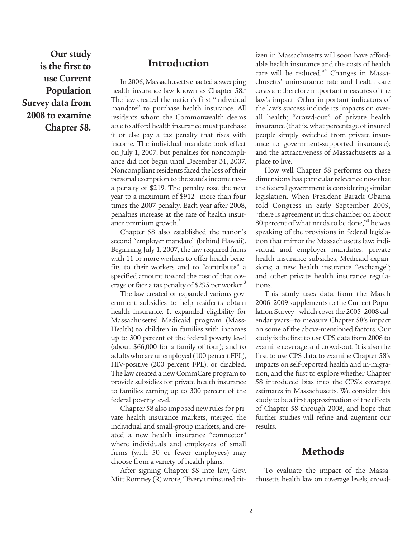**Our study is the first to use Current Population Survey data from 2008 to examine Chapter 58.**

## **Introduction**

In 2006, Massachusetts enacted a sweeping health insurance law known as Chapter 58.<sup>1</sup> The law created the nation's first "individual mandate" to purchase health insurance. All residents whom the Commonwealth deems able to afford health insurance must purchase it or else pay a tax penalty that rises with income. The individual mandate took effect on July 1, 2007, but penalties for noncompliance did not begin until December 31, 2007. Noncompliant residents faced the loss of their personal exemption to the state's income taxa penalty of \$219. The penalty rose the next year to a maximum of \$912—more than four times the 2007 penalty. Each year after 2008, penalties increase at the rate of health insurance premium growth.<sup>2</sup>

Chapter 58 also established the nation's second "employer mandate" (behind Hawaii). Beginning July 1, 2007, the law required firms with 11 or more workers to offer health benefits to their workers and to "contribute" a specified amount toward the cost of that coverage or face a tax penalty of \$295 per worker.<sup>3</sup>

The law created or expanded various government subsidies to help residents obtain health insurance. It expanded eligibility for Massachusetts' Medicaid program (Mass-Health) to children in families with incomes up to 300 percent of the federal poverty level (about \$66,000 for a family of four); and to adults who are unemployed (100 percent FPL), HIV-positive (200 percent FPL), or disabled. The law created a new CommCare program to provide subsidies for private health insurance to families earning up to 300 percent of the federal poverty level.

Chapter 58 also imposed new rules for private health insurance markets, merged the individual and small-group markets, and created a new health insurance "connector" where individuals and employees of small firms (with 50 or fewer employees) may choose from a variety of health plans.

After signing Chapter 58 into law, Gov. Mitt Romney (R) wrote, "Every uninsured citizen in Massachusetts will soon have affordable health insurance and the costs of health care will be reduced." <sup>4</sup> Changes in Massachusetts' uninsurance rate and health care costs are therefore important measures of the law's impact. Other important indicators of the law's success include its impacts on overall health; "crowd-out" of private health insurance (that is, what percentage of insured people simply switched from private insurance to government-supported insurance); and the attractiveness of Massachusetts as a place to live.

How well Chapter 58 performs on these dimensions has particular relevance now that the federal government is considering similar legislation. When President Barack Obama told Congress in early September 2009, "there is agreement in this chamber on about 80 percent of what needs to be done,"<sup>5</sup> he was speaking of the provisions in federal legislation that mirror the Massachusetts law: individual and employer mandates; private health insurance subsidies; Medicaid expansions; a new health insurance "exchange"; and other private health insurance regulations.

This study uses data from the March 2006–2009 supplements to the Current Population Survey—which cover the 2005–2008 calendar years—to measure Chapter 58's impact on some of the above-mentioned factors. Our study is the first to use CPS data from 2008 to examine coverage and crowd-out. It is also the first to use CPS data to examine Chapter 58's impacts on self-reported health and in-migration, and the first to explore whether Chapter 58 introduced bias into the CPS's coverage estimates in Massachusetts. We consider this study to be a first approximation of the effects of Chapter 58 through 2008, and hope that further studies will refine and augment our results.

#### **Methods**

To evaluate the impact of the Massachusetts health law on coverage levels, crowd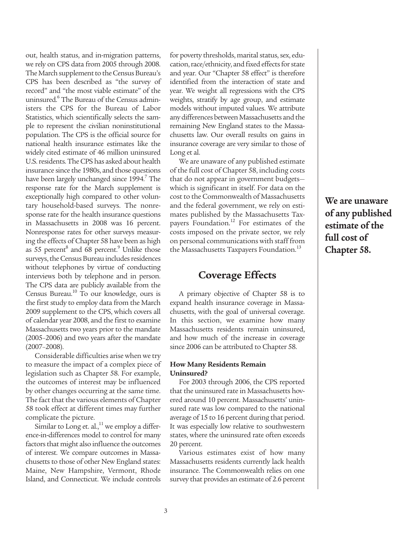out, health status, and in-migration patterns, we rely on CPS data from 2005 through 2008. The March supplement to the Census Bureau's CPS has been described as "the survey of record" and "the most viable estimate" of the uninsured. <sup>6</sup> The Bureau of the Census administers the CPS for the Bureau of Labor Statistics, which scientifically selects the sample to represent the civilian noninstitutional population. The CPS is the official source for national health insurance estimates like the widely cited estimate of 46 million uninsured U.S.residents.TheCPS has asked about health insurance since the 1980s, and those questions have been largely unchanged since 1994. <sup>7</sup> The response rate for the March supplement is exceptionally high compared to other voluntary household-based surveys. The nonresponse rate for the health insurance questions in Massachusetts in 2008 was 16 percent. Nonresponse rates for other surveys measuring the effects of Chapter 58 have been as high as 55 percent<sup>8</sup> and 68 percent.<sup>9</sup> Unlike those surveys, the Census Bureau includes residences without telephones by virtue of conducting interviews both by telephone and in person. The CPS data are publicly available from the Census Bureau.<sup>10</sup> To our knowledge, ours is the first study to employ data from the March 2009 supplement to the CPS, which covers all of calendar year 2008, and the first to examine Massachusetts two years prior to the mandate (2005–2006) and two years after the mandate (2007–2008).

Considerable difficulties arise when we try to measure the impact of a complex piece of legislation such as Chapter 58. For example, the outcomes of interest may be influenced by other changes occurring at the same time. The fact that the various elements of Chapter 58 took effect at different times may further complicate the picture.

Similar to Long et. al.,<sup>11</sup> we employ a difference-in-differences model to control for many factors that might also influence the outcomes of interest. We compare outcomes in Massachusetts to those of other New England states: Maine, New Hampshire, Vermont, Rhode Island, and Connecticut. We include controls for poverty thresholds, marital status, sex, education, race/ethnicity, and fixed effects for state and year. Our "Chapter 58 effect" is therefore identified from the interaction of state and year. We weight all regressions with the CPS weights, stratify by age group, and estimate models without imputed values. We attribute any differences between Massachusetts and the remaining New England states to the Massachusetts law. Our overall results on gains in insurance coverage are very similar to those of Long et al.

We are unaware of any published estimate of the full cost of Chapter 58, including costs that do not appear in government budgets which is significant in itself. For data on the cost to the Commonwealth of Massachusetts and the federal government, we rely on estimates published by the Massachusetts Taxpayers Foundation.<sup>12</sup> For estimates of the costs imposed on the private sector, we rely on personal communications with staff from the Massachusetts Taxpayers Foundation.<sup>13</sup>

#### **Coverage Effects**

A primary objective of Chapter 58 is to expand health insurance coverage in Massachusetts, with the goal of universal coverage. In this section, we examine how many Massachusetts residents remain uninsured, and how much of the increase in coverage since 2006 can be attributed to Chapter 58.

#### **How Many Residents Remain Uninsured?**

For 2003 through 2006, the CPS reported that the uninsured rate in Massachusetts hovered around 10 percent. Massachusetts' uninsured rate was low compared to the national average of 15 to 16 percent during that period. It was especially low relative to southwestern states, where the uninsured rate often exceeds 20 percent.

Various estimates exist of how many Massachusetts residents currently lack health insurance. The Commonwealth relies on one survey that provides an estimate of 2.6 percent

**We are unaware of any published estimate of the full cost of Chapter 58.**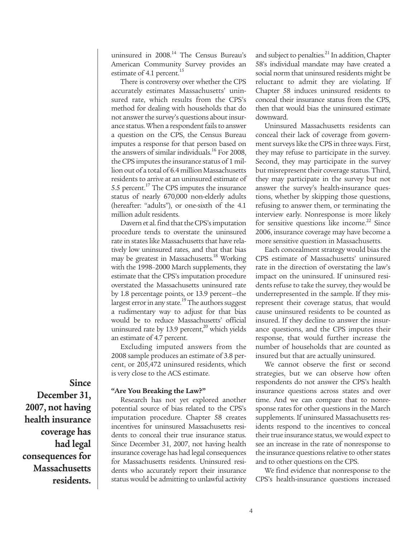uninsured in 2008. <sup>14</sup> The Census Bureau's American Community Survey provides an estimate of 4.1 percent.<sup>15</sup>

There is controversy over whether the CPS accurately estimates Massachusetts' uninsured rate, which results from the CPS's method for dealing with households that do not answer the survey's questions about insurance status. When a respondent fails to answer a question on the CPS, the Census Bureau imputes a response for that person based on the answers of similar individuals. <sup>16</sup> For 2008, the CPS imputes the insurance status of 1 million out of a total of 6.4 million Massachusetts residents to arrive at an uninsured estimate of 5.5 percent.<sup>17</sup> The CPS imputes the insurance status of nearly 670,000 non-elderly adults (hereafter: "adults"), or one-sixth of the 4.1 million adult residents.

Davern et al. find that the CPS's imputation procedure tends to overstate the uninsured rate in states like Massachusetts that have relatively low uninsured rates, and that that bias may be greatest in Massachusetts. <sup>18</sup> Working with the 1998–2000 March supplements, they estimate that the CPS's imputation procedure overstated the Massachusetts uninsured rate by 1.8 percentage points, or 13.9 percent—the largest error in any state.<sup>19</sup> The authors suggest a rudimentary way to adjust for that bias would be to reduce Massachusetts' official uninsured rate by 13.9 percent,<sup>20</sup> which yields an estimate of 4.7 percent.

Excluding imputed answers from the 2008 sample produces an estimate of 3.8 percent, or 205,472 uninsured residents, which is very close to the ACS estimate.

#### **"Are You Breaking the Law?"**

Research has not yet explored another potential source of bias related to the CPS's imputation procedure. Chapter 58 creates incentives for uninsured Massachusetts residents to conceal their true insurance status. Since December 31, 2007, not having health insurance coverage has had legal consequences for Massachusetts residents. Uninsured residents who accurately report their insurance status would be admitting to unlawful activity

and subject to penalties. $^{21}$  In addition, Chapter 58's individual mandate may have created a social norm that uninsured residents might be reluctant to admit they are violating. If Chapter 58 induces uninsured residents to conceal their insurance status from the CPS, then that would bias the uninsured estimate downward.

Uninsured Massachusetts residents can conceal their lack of coverage from government surveys like the CPS in three ways. First, they may refuse to participate in the survey. Second, they may participate in the survey but misrepresent their coverage status. Third, they may participate in the survey but not answer the survey's health-insurance questions, whether by skipping those questions, refusing to answer them, or terminating the interview early. Nonresponse is more likely for sensitive questions like income. <sup>22</sup> Since 2006, insurance coverage may have become a more sensitive question in Massachusetts.

Each concealment strategy would bias the CPS estimate of Massachusetts' uninsured rate in the direction of overstating the law's impact on the uninsured. If uninsured residents refuse to take the survey, they would be underrepresented in the sample. If they misrepresent their coverage status, that would cause uninsured residents to be counted as insured. If they decline to answer the insurance questions, and the CPS imputes their response, that would further increase the number of households that are counted as insured but that are actually uninsured.

We cannot observe the first or second strategies, but we can observe how often respondents do not answer the CPS's health insurance questions across states and over time. And we can compare that to nonresponse rates for other questions in the March supplements. If uninsured Massachusetts residents respond to the incentives to conceal their true insurance status, we would expect to see an increase in the rate of nonresponse to the insurance questions relative to other states and to other questions on the CPS.

We find evidence that nonresponse to the CPS's health-insurance questions increased

**Since December 31, 2007, not having health insurance coverage has had legal consequences for Massachusetts residents.**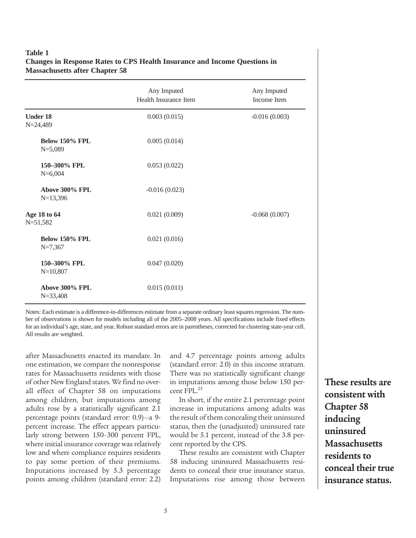#### **Table 1 Changes in Response Rates to CPS Health Insurance and Income Questions in Massachusetts after Chapter 58**

|                                    | Any Imputed<br>Health Insurance Item | Any Imputed<br>Income Item |  |  |  |
|------------------------------------|--------------------------------------|----------------------------|--|--|--|
| <b>Under 18</b><br>$N = 24,489$    | 0.003(0.015)                         | $-0.016(0.003)$            |  |  |  |
| <b>Below 150% FPL</b><br>$N=5,089$ | 0.005(0.014)                         |                            |  |  |  |
| 150-300% FPL<br>$N=6,004$          | 0.053(0.022)                         |                            |  |  |  |
| Above 300% FPL<br>$N=13,396$       | $-0.016(0.023)$                      |                            |  |  |  |
| Age 18 to 64<br>$N = 51,582$       | 0.021(0.009)                         | $-0.068(0.007)$            |  |  |  |
| Below 150% FPL<br>$N=7,367$        | 0.021(0.016)                         |                            |  |  |  |
| 150-300% FPL<br>$N=10,807$         | 0.047(0.020)                         |                            |  |  |  |
| Above 300% FPL<br>$N = 33,408$     | 0.015(0.011)                         |                            |  |  |  |

Notes: Each estimate is a difference-in-differences estimate from a separate ordinary least squares regression. The number of observations is shown for models including all of the 2005–2008 years. All specifications include fixed effects for an individual's age, state, and year. Robust standard errors are in parentheses, corrected for clustering state-year cell. All results are weighted.

after Massachusetts enacted its mandate. In one estimation, we compare the nonresponse rates for Massachusetts residents with those of other NewEngland states. We find no overall effect of Chapter 58 on imputations among children, but imputations among adults rose by a statistically significant 2.1 percentage points (standard error: 0.9)—a 9 percent increase. The effect appears particularly strong between 150–300 percent FPL, where initial insurance coverage was relatively low and where compliance requires residents to pay some portion of their premiums. Imputations increased by 5.3 percentage points among children (standard error: 2.2)

and 4.7 percentage points among adults (standard error: 2.0) in this income stratum. There was no statistically significant change in imputations among those below 150 percent FPL. 23

In short, if the entire 2.1 percentage point increase in imputations among adults was the result of them concealing their uninsured status, then the (unadjusted) uninsured rate would be 5.1 percent, instead of the 3.8 percent reported by the CPS.

These results are consistent with Chapter 58 inducing uninsured Massachusetts residents to conceal their true insurance status. Imputations rise among those between

**These results are consistent with Chapter 58 inducing uninsured Massachusetts residents to conceal their true insurance status.**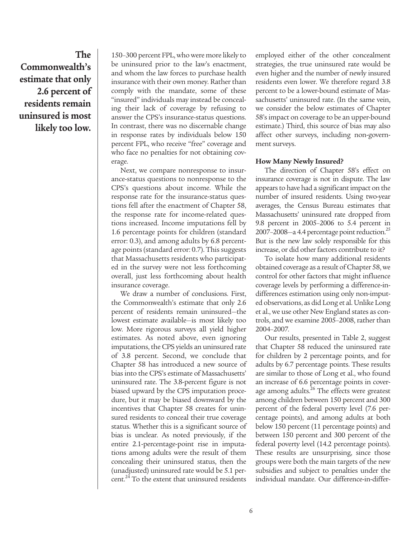**The Commonwealth's estimate that only 2.6 percent of residents remain uninsured is most likely too low.**

150–300 percent FPL,whowere more likely to be uninsured prior to the law's enactment, and whom the law forces to purchase health insurance with their own money. Rather than comply with the mandate, some of these "insured" individuals may instead be concealing their lack of coverage by refusing to answer the CPS's insurance-status questions. In contrast, there was no discernable change in response rates by individuals below 150 percent FPL, who receive "free" coverage and who face no penalties for not obtaining coverage.

Next, we compare nonresponse to insurance-status questions to nonresponse to the CPS's questions about income. While the response rate for the insurance-status questions fell after the enactment of Chapter 58, the response rate for income-related questions increased. Income imputations fell by 1.6 percentage points for children (standard error: 0.3), and among adults by 6.8 percentage points (standard error: 0.7). This suggests that Massachusetts residents who participated in the survey were not less forthcoming overall, just less forthcoming about health insurance coverage.

We draw a number of conclusions. First, the Commonwealth's estimate that only 2.6 percent of residents remain uninsured—the lowest estimate available—is most likely too low. More rigorous surveys all yield higher estimates. As noted above, even ignoring imputations, the CPS yields an uninsured rate of 3.8 percent. Second, we conclude that Chapter 58 has introduced a new source of biasinto the CPS's estimate of Massachusetts' uninsured rate. The 3.8-percent figure is not biased upward by the CPS imputation procedure, but it may be biased downward by the incentives that Chapter 58 creates for uninsured residents to conceal their true coverage status. Whether this is a significant source of bias is unclear. As noted previously, if the entire 2.1-percentage-point rise in imputations among adults were the result of them concealing their uninsured status, then the (unadjusted) uninsured rate would be 5.1 percent.<sup>24</sup> To the extent that uninsured residents

employed either of the other concealment strategies, the true uninsured rate would be even higher and the number of newly insured residents even lower. We therefore regard 3.8 percent to be a lower-bound estimate of Massachusetts' uninsured rate. (In the same vein, we consider the below estimates of Chapter 58'simpact on coverage to be an upper-bound estimate.) Third, this source of bias may also affect other surveys, including non-government surveys.

#### **How Many Newly Insured?**

The direction of Chapter 58's effect on insurance coverage is not in dispute. The law appears to have had a significant impact on the number of insured residents. Using two-year averages, the Census Bureau estimates that Massachusetts' uninsured rate dropped from 9.8 percent in 2005–2006 to 5.4 percent in 2007–2008—a 4.4 percentage point reduction.<sup>25</sup> But is the new law solely responsible for this increase, or did other factors contribute to it?

To isolate how many additional residents obtained coverage as a result of Chapter 58, we control for other factors that might influence coverage levels by performing a difference-indifferences estimation using only non-imputed observations, as did Long et al. Unlike Long et al., we use other New England states as controls, and we examine 2005–2008, rather than 2004–2007.

Our results, presented in Table 2, suggest that Chapter 58 reduced the uninsured rate for children by 2 percentage points, and for adults by 6.7 percentage points. These results are similar to those of Long et al., who found an increase of 6.6 percentage points in coverage among adults.<sup>26</sup> The effects were greatest among children between 150 percent and 300 percent of the federal poverty level (7.6 percentage points), and among adults at both below 150 percent (11 percentage points) and between 150 percent and 300 percent of the federal poverty level (14.2 percentage points). These results are unsurprising, since those groups were both the main targets of the new subsidies and subject to penalties under the individual mandate. Our difference-in-differ-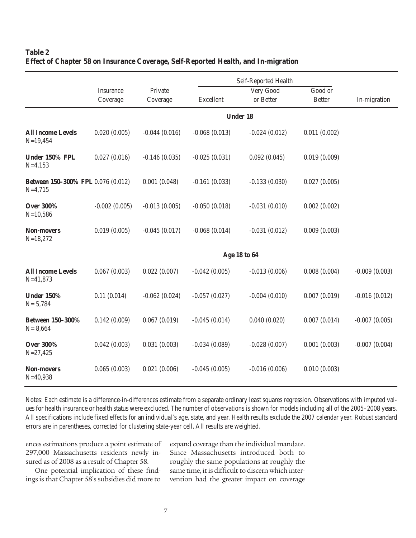#### **Table 2 Effect of Chapter 58 on Insurance Coverage, Self-Reported Health, and In-migration**

|                                                 |                       | Self-Reported Health |                 |                        |                          |                 |  |
|-------------------------------------------------|-----------------------|----------------------|-----------------|------------------------|--------------------------|-----------------|--|
|                                                 | Insurance<br>Coverage | Private<br>Coverage  | Excellent       | Very Good<br>or Better | Good or<br><b>Better</b> | In-migration    |  |
|                                                 | <b>Under 18</b>       |                      |                 |                        |                          |                 |  |
| <b>All Income Levels</b><br>$N=19,454$          | 0.020(0.005)          | $-0.044(0.016)$      | $-0.068(0.013)$ | $-0.024(0.012)$        | 0.011(0.002)             |                 |  |
| Under 150% FPL<br>$N=4,153$                     | 0.027(0.016)          | $-0.146(0.035)$      | $-0.025(0.031)$ | 0.092(0.045)           | 0.019(0.009)             |                 |  |
| Between 150-300% FPL 0.076 (0.012)<br>$N=4,715$ |                       | 0.001(0.048)         | $-0.161(0.033)$ | $-0.133(0.030)$        | 0.027(0.005)             |                 |  |
| <b>Over 300%</b><br>$N=10,586$                  | $-0.002(0.005)$       | $-0.013(0.005)$      | $-0.050(0.018)$ | $-0.031(0.010)$        | 0.002(0.002)             |                 |  |
| <b>Non-movers</b><br>$N=18,272$                 | 0.019(0.005)          | $-0.045(0.017)$      | $-0.068(0.014)$ | $-0.031(0.012)$        | 0.009(0.003)             |                 |  |
|                                                 |                       | Age 18 to 64         |                 |                        |                          |                 |  |
| <b>All Income Levels</b><br>$N = 41,873$        | 0.067(0.003)          | 0.022(0.007)         | $-0.042(0.005)$ | $-0.013(0.006)$        | 0.008(0.004)             | $-0.009(0.003)$ |  |
| <b>Under 150%</b><br>$N = 5,784$                | 0.11(0.014)           | $-0.062(0.024)$      | $-0.057(0.027)$ | $-0.004(0.010)$        | 0.007(0.019)             | $-0.016(0.012)$ |  |
| Between 150-300%<br>$N = 8,664$                 | 0.142(0.009)          | 0.067(0.019)         | $-0.045(0.014)$ | 0.040(0.020)           | 0.007(0.014)             | $-0.007(0.005)$ |  |
| <b>Over 300%</b><br>$N = 27,425$                | 0.042(0.003)          | 0.031(0.003)         | $-0.034(0.089)$ | $-0.028(0.007)$        | 0.001(0.003)             | $-0.007(0.004)$ |  |
| <b>Non-movers</b><br>$N = 40,938$               | 0.065(0.003)          | 0.021(0.006)         | $-0.045(0.005)$ | $-0.016(0.006)$        | 0.010(0.003)             |                 |  |

Notes: Each estimate is a difference-in-differences estimate from a separate ordinary least squares regression. Observations with imputed values for health insurance or health status were excluded. The number of observations is shown for models including all of the 2005–2008 years. All specifications include fixed effects for an individual's age, state, and year. Health results exclude the 2007 calendar year. Robust standard errors are in parentheses, corrected for clustering state-year cell. All results are weighted.

ences estimations produce a point estimate of 297,000 Massachusetts residents newly insured as of 2008 as a result of Chapter 58.

One potential implication of these findings is that Chapter 58's subsidies did more to expand coverage than the individual mandate. Since Massachusetts introduced both to roughly the same populations at roughly the same time, it is difficult to discern which intervention had the greater impact on coverage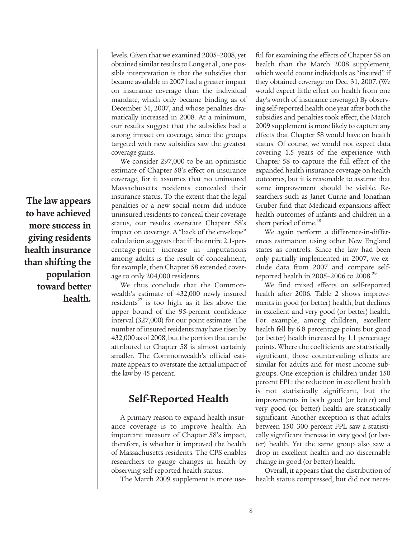levels. Given that we examined 2005–2008, yet obtained similar results to Long et al., one possible interpretation is that the subsidies that became available in 2007 had a greater impact on insurance coverage than the individual mandate, which only became binding as of December 31, 2007, and whose penalties dramatically increased in 2008. At a minimum, our results suggest that the subsidies had a strong impact on coverage, since the groups targeted with new subsidies saw the greatest coverage gains.

We consider 297,000 to be an optimistic estimate of Chapter 58's effect on insurance coverage, for it assumes that no uninsured Massachusetts residents concealed their insurance status. To the extent that the legal penalties or a new social norm did induce uninsured residents to conceal their coverage status, our results overstate Chapter 58's impact on coverage. A "back of the envelope" calculation suggests that if the entire 2.1-percentage-point increase in imputations among adults is the result of concealment, for example, then Chapter 58 extended coverage to only 204,000 residents.

We thus conclude that the Commonwealth's estimate of 432,000 newly insured residents <sup>27</sup> is too high, as it lies above the upper bound of the 95-percent confidence interval (327,000) for our point estimate. The number of insured residents may have risen by  $432,000$  as of 2008, but the portion that can be attributed to Chapter 58 is almost certainly smaller. The Commonwealth's official estimate appears to overstate the actual impact of the law by 45 percent.

## **Self-Reported Health**

A primary reason to expand health insurance coverage is to improve health. An important measure of Chapter 58's impact, therefore, is whether it improved the health of Massachusetts residents. The CPS enables researchers to gauge changes in health by observing self-reported health status.

The March 2009 supplement is more use-

ful for examining the effects of Chapter 58 on health than the March 2008 supplement, which would count individuals as "insured" if they obtained coverage on Dec. 31, 2007. (We would expect little effect on health from one day's worth of insurance coverage.) By observing self-reported health one year after both the subsidies and penalties took effect, the March 2009 supplement is more likely to capture any effects that Chapter 58 would have on health status. Of course, we would not expect data covering 1.5 years of the experience with Chapter 58 to capture the full effect of the expanded health insurance coverage on health outcomes, but it is reasonable to assume that some improvement should be visible. Researchers such as Janet Currie and Jonathan Gruber find that Medicaid expansions affect health outcomes of infants and children in a short period of time.<sup>28</sup>

We again perform a difference-in-differences estimation using other New England states as controls. Since the law had been only partially implemented in 2007, we exclude data from 2007 and compare selfreported health in 2005–2006 to 2008. 29

We find mixed effects on self-reported health after 2006. Table 2 shows improvements in good (or better) health, but declines in excellent and very good (or better) health. For example, among children, excellent health fell by 6.8 percentage points but good (or better) health increased by 1.1 percentage points. Where the coefficients are statistically significant, those countervailing effects are similar for adults and for most income subgroups. One exception is children under 150 percent FPL: the reduction in excellent health is not statistically significant, but the improvements in both good (or better) and very good (or better) health are statistically significant. Another exception is that adults between 150–300 percent FPL saw a statistically significant increase in very good (or better) health. Yet the same group also saw a drop in excellent health and no discernable change in good (or better) health.

Overall, it appears that the distribution of health status compressed, but did not neces-

**The law appears to have achieved more success in giving residents health insurance than shifting the population toward better health.**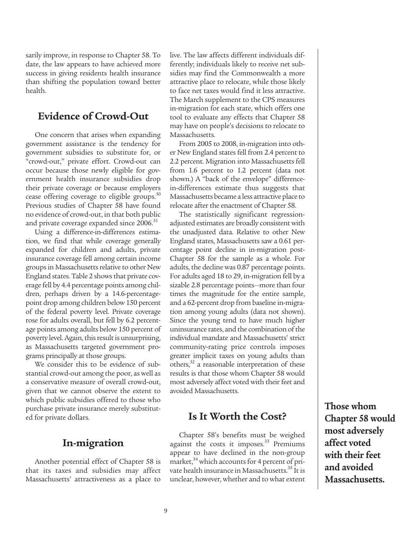sarily improve, in response to Chapter 58. To date, the law appears to have achieved more success in giving residents health insurance than shifting the population toward better health.

## **Evidence of Crowd-Out**

One concern that arises when expanding government assistance is the tendency for government subsidies to substitute for, or "crowd-out," private effort. Crowd-out can occur because those newly eligible for government health insurance subsidies drop their private coverage or because employers cease offering coverage to eligible groups.<sup>30</sup> Previous studies of Chapter 58 have found no evidence of crowd-out, in that both public and private coverage expanded since 2006. $^{\rm 31}$ 

Using a difference-in-differences estimation, we find that while coverage generally expanded for children and adults, private insurance coverage fell among certain income groups in Massachusetts relative to other New England states. Table 2 shows that private coverage fell by 4.4 percentage points among children, perhaps driven by a 14.6-percentagepoint drop among children below150 percent of the federal poverty level. Private coverage rose for adults overall, but fell by 6.2 percentage points among adults below 150 percent of poverty level. Again, this result is unsurprising, as Massachusetts targeted government programs principally at those groups.

We consider this to be evidence of substantial crowd-out among the poor, as well as a conservative measure of overall crowd-out, given that we cannot observe the extent to which public subsidies offered to those who purchase private insurance merely substituted for private dollars.

#### **In-migration**

Another potential effect of Chapter 58 is that its taxes and subsidies may affect Massachusetts' attractiveness as a place to live. The law affects different individuals differently; individuals likely to receive net subsidies may find the Commonwealth a more attractive place to relocate, while those likely to face net taxes would find it less attractive. The March supplement to the CPS measures in-migration for each state, which offers one tool to evaluate any effects that Chapter 58 may have on people's decisions to relocate to Massachusetts.

From 2005 to 2008, in-migration into other New England states fell from 2.4 percent to 2.2 percent. Migration into Massachusetts fell from 1.6 percent to 1.2 percent (data not shown.) A "back of the envelope" differencein-differences estimate thus suggests that Massachusetts became a less attractive place to relocate after the enactment of Chapter 58.

The statistically significant regressionadjusted estimates are broadly consistent with the unadjusted data. Relative to other New England states, Massachusetts saw a 0.61 percentage point decline in in-migration post-Chapter 58 for the sample as a whole. For adults, the decline was 0.87 percentage points. For adults aged 18 to 29, in-migration fell by a sizable 2.8 percentage points—more than four times the magnitude for the entire sample, and a 62-percent drop from baseline in-migration among young adults (data not shown). Since the young tend to have much higher uninsurance rates, and the combination of the individual mandate and Massachusetts' strict community-rating price controls imposes greater implicit taxes on young adults than others,<sup>32</sup> a reasonable interpretation of these results is that those whom Chapter 58 would most adversely affect voted with their feet and avoided Massachusetts.

## **Is It Worth the Cost?**

Chapter 58's benefits must be weighed against the costs it imposes.<sup>33</sup> Premiums appear to have declined in the non-group market,<sup>34</sup> which accounts for 4 percent of private health insurance in Massachusetts.<sup>35</sup> It is unclear, however, whether and to what extent **Those whom Chapter 58 would most adversely affect voted with their feet and avoided Massachusetts.**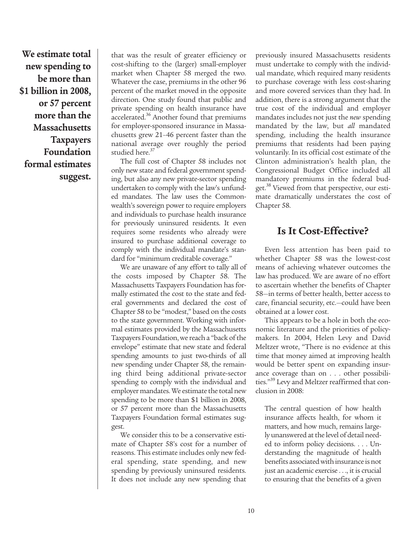**We estimate total new spending to be more than \$1 billion in 2008, or 57 percent more than the Massachusetts Taxpayers Foundation formal estimates suggest.**

that was the result of greater efficiency or cost-shifting to the (larger) small-employer market when Chapter 58 merged the two. Whatever the case, premiums in the other 96 percent of the market moved in the opposite direction. One study found that public and private spending on health insurance have accelerated.<sup>36</sup> Another found that premiums for employer-sponsored insurance in Massachusetts grew 21–46 percent faster than the national average over roughly the period studied here. 37

The full cost of Chapter 58 includes not only new state and federal government spending, but also any new private-sector spending undertaken to comply with the law's unfunded mandates. The law uses the Commonwealth's sovereign power to require employers and individuals to purchase health insurance for previously uninsured residents. It even requires some residents who already were insured to purchase additional coverage to comply with the individual mandate's standard for "minimum creditable coverage."

We are unaware of any effort to tally all of the costs imposed by Chapter 58. The Massachusetts Taxpayers Foundation has formally estimated the cost to the state and federal governments and declared the cost of Chapter 58 to be "modest," based on the costs to the state government. Working with informal estimates provided by the Massachusetts Taxpayers Foundation, we reach a "back of the envelope" estimate that new state and federal spending amounts to just two-thirds of all new spending under Chapter 58, the remaining third being additional private-sector spending to comply with the individual and employer mandates.We estimate the total new spending to be more than \$1 billion in 2008, or 57 percent more than the Massachusetts Taxpayers Foundation formal estimates suggest.

We consider this to be a conservative estimate of Chapter 58's cost for a number of reasons. This estimate includes only new federal spending, state spending, and new spending by previously uninsured residents. It does not include any new spending that

previously insured Massachusetts residents must undertake to comply with the individual mandate, which required many residents to purchase coverage with less cost-sharing and more covered services than they had. In addition, there is a strong argument that the true cost of the individual and employer mandates includes not just the *new* spending mandated by the law, but *all* mandated spending, including the health insurance premiums that residents had been paying voluntarily. In its official cost estimate of the Clinton administration's health plan, the Congressional Budget Office included all mandatory premiums in the federal budget. <sup>38</sup> Viewed from that perspective, our estimate dramatically understates the cost of Chapter 58.

## **Is It Cost-Effective?**

Even less attention has been paid to whether Chapter 58 was the lowest-cost means of achieving whatever outcomes the law has produced. We are aware of no effort to ascertain whether the benefits of Chapter 58—in terms of better health, better access to care, financial security, etc.—could have been obtained at a lower cost.

This appears to be a hole in both the economic literature and the priorities of policymakers. In 2004, Helen Levy and David Meltzer wrote, "There is no evidence at this time that money aimed at improving health would be better spent on expanding insurance coverage than on . . . other possibilities." <sup>39</sup> Levy and Meltzer reaffirmed that conclusion in 2008:

The central question of how health insurance affects health, for whom it matters, and how much, remains largely unanswered at the level of detail needed to inform policy decisions. . . . Understanding the magnitude of health benefits associated with insurance is not just an academic exercise . . ., it is crucial to ensuring that the benefits of a given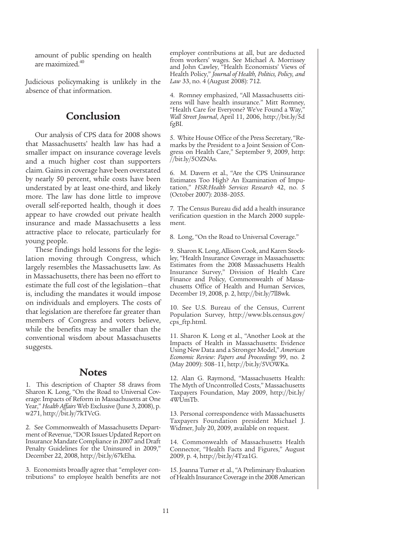amount of public spending on health are maximized. 40

Judicious policymaking is unlikely in the absence of that information.

#### **Conclusion**

Our analysis of CPS data for 2008 shows that Massachusetts' health law has had a smaller impact on insurance coverage levels and a much higher cost than supporters claim. Gains in coverage have been overstated by nearly 50 percent, while costs have been understated by at least one-third, and likely more. The law has done little to improve overall self-reported health, though it does appear to have crowded out private health insurance and made Massachusetts a less attractive place to relocate, particularly for young people.

These findings hold lessons for the legislation moving through Congress, which largely resembles the Massachusetts law. As in Massachusetts, there has been no effort to estimate the full cost of the legislation—that is, including the mandates it would impose on individuals and employers. The costs of that legislation are therefore far greater than members of Congress and voters believe, while the benefits may be smaller than the conventional wisdom about Massachusetts suggests.

#### **Notes**

1. This description of Chapter 58 draws from Sharon K. Long, "On the Road to Universal Coverage: Impacts of Reform in Massachusetts at One Year," *Health Affairs* Web Exclusive (June 3, 2008), p. w271, http://bit.ly/7kTVcG.

2. See Commonwealth of Massachusetts Department of Revenue, "DOR Issues Updated Report on Insurance Mandate Compliance in 2007 and Draft Penalty Guidelines for the Uninsured in 2009," December 22, 2008, http://bit.ly/67kEha.

3. Economists broadly agree that "employer contributions" to employee health benefits are not

employer contributions at all, but are deducted from workers' wages. See Michael A. Morrissey and John Cawley, "Health Economists' Views of Health Policy," *Journal of Health, Politics, Policy, and Law* 33, no. 4 (August 2008): 712.

4. Romney emphasized, "All Massachusetts citizens will have health insurance." Mitt Romney, "Health Care for Everyone? We've Found a Way," *Wall Street Journal*, April 11, 2006, http://bit.ly/5d fgBI.

5. White House Office of the Press Secretary, "Remarks by the President to a Joint Session of Congress on Health Care," September 9, 2009, http: //bit.ly/5OZNAs.

6. M. Davern et al., "Are the CPS Uninsurance Estimates Too High? An Examination of Imputation," *HSR:Health Services Research* 42, no. 5 (October 2007): 2038–2055.

7. The Census Bureau did add a health insurance verification question in the March 2000 supplement.

8. Long, "On the Road to Universal Coverage."

9. Sharon K. Long, Allison Cook, and Karen Stockley, "Health Insurance Coverage in Massachusetts: Estimates from the 2008 Massachusetts Health Insurance Survey," Division of Health Care Finance and Policy, Commonwealth of Massachusetts Office of Health and Human Services, December 19, 2008, p. 2, http://bit.ly/7ll8wk.

10. See U.S. Bureau of the Census, Current Population Survey, http://www.bls.census.gov/ cps\_ftp.html.

11. Sharon K. Long et al., "Another Look at the Impacts of Health in Massachusetts: Evidence Using New Data and a Stronger Model," *American Economic Review: Papers and Proceedings* 99, no. 2 (May 2009): 508–11, http://bit.ly/5VOWKa.

12. Alan G. Raymond, "Massachusetts Health: The Myth of Uncontrolled Costs," Massachusetts Taxpayers Foundation, May 2009, http://bit.ly/ 4WUmTb.

13. Personal correspondence with Massachusetts Taxpayers Foundation president Michael J. Widmer, July 20, 2009, available on request.

14. Commonwealth of Massachusetts Health Connector, "Health Facts and Figures," August 2009, p. 4, http://bit.ly/4Tza1G.

15. Joanna Turner et al., "A Preliminary Evaluation of Health Insurance Coverage in the 2008 American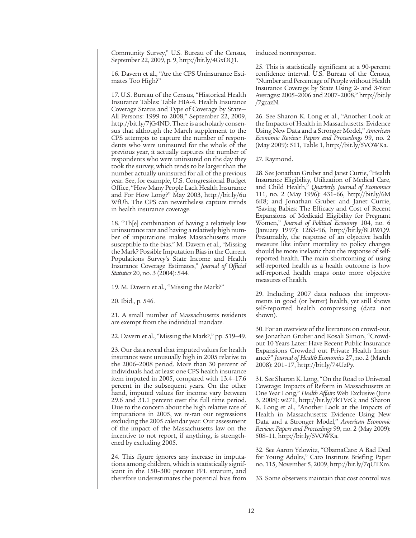Community Survey," U.S. Bureau of the Census, September 22, 2009, p. 9, http://bit.ly/4GxDQ1.

16. Davern et al., "Are the CPS Uninsurance Estimates Too High?"

17. U.S. Bureau of the Census, "Historical Health Insurance Tables: Table HIA-4. Health Insurance Coverage Status and Type of Coverage by State— All Persons: 1999 to 2008," September 22, 2009, http://bit.ly/7jG4ND. There is a scholarly consensus that although the March supplement to the CPS attempts to capture the number of respondents who were uninsured for the whole of the previous year, it actually captures the number of respondents who were uninsured on the day they took the survey, which tends to be larger than the number actually uninsured for all of the previous year. See, for example, U.S. Congressional Budget Office, "How Many People Lack Health Insurance and For How Long?" May 2003, http://bit.ly/6u WfUh. The CPS can nevertheless capture trends in health insurance coverage.

18. "Th[e] combination of having a relatively low uninsurance rate and having a relatively high number of imputations makes Massachusetts more susceptible to the bias." M. Davern et al., "Missing the Mark? Possible Imputation Biasin the Current Populations Survey's State Income and Health Insurance Coverage Estimates,'' *Journal of Official Statistics* 20, no. 3 (2004): 544.

19. M. Davern et al., "Missing the Mark?"

20. Ibid., p. 546.

21. A small number of Massachusetts residents are exempt from the individual mandate.

22. Davern et al., ''Missing the Mark?," pp. 519–49.

23. Our data reveal that imputed values for health insurance were unusually high in 2005 relative to the 2006–2008 period. More than 30 percent of individuals had at least one CPS health insurance item imputed in 2005, compared with 13.4–17.6 percent in the subsequent years. On the other hand, imputed values for income vary between 29.6 and 31.1 percent over the full time period. Due to the concern about the high relative rate of imputations in 2005, we re-ran our regressions excluding the 2005 calendar year. Our assessment of the impact of the Massachusetts law on the incentive to not report, if anything, is strengthened by excluding 2005.

24. This figure ignores any increase in imputations among children, which is statistically significant in the 150–300 percent FPL stratum, and therefore underestimates the potential bias from induced nonresponse.

25. This is statistically significant at a 90-percent confidence interval. U.S. Bureau of the Census, "Number and Percentage of People without Health Insurance Coverage by State Using 2- and 3-Year Averages: 2005–2006 and 2007–2008," http://bit.ly /7gcazN.

26. See Sharon K. Long et al., "Another Look at the Impacts of Health in Massachusetts: Evidence Using New Data and a Stronger Model," *American Economic Review: Papers and Proceedings* 99, no. 2 (May 2009): 511, Table 1, http://bit.ly/5VOWKa.

27. Raymond.

28. See Jonathan Gruber and Janet Currie, "Health Insurance Eligibility, Utilization of Medical Care, and Child Health," *Quarterly Journal of Economics* 111, no. 2 (May 1996): 431–66, http://bit.ly/6M 6iI8; and Jonathan Gruber and Janet Currie, "Saving Babies: The Efficacy and Cost of Recent Expansions of Medicaid Eligibility for Pregnant Women," *Journal of Political Economy* 104, no. 6 (January 1997): 1263–96, http://bit.ly/8LRWQ9. Presumably, the response of an objective health measure like infant mortality to policy changes should be more inelastic than the response of selfreported health. The main shortcoming of using self-reported health as a health outcome is how self-reported health maps onto more objective measures of health.

29. Including 2007 data reduces the improvements in good (or better) health, yet still shows self-reported health compressing (data not shown).

30. For an overview of the literature on crowd-out, see Jonathan Gruber and Kosali Simon, "Crowdout 10 Years Later: Have Recent Public Insurance Expansions Crowded out Private Health Insurance?" *Journal of Health Economics* 27, no. 2 (March 2008): 201–17, http://bit.ly/74UzPy.

31. See Sharon K. Long, "On the Road to Universal Coverage: Impacts of Reform in Massachusetts at One Year Long," *Health Affairs* Web Exclusive (June 3, 2008): w271, http://bit.ly/7kTVcG; and Sharon K. Long et al., "Another Look at the Impacts of Health in Massachusetts: Evidence Using New Data and a Stronger Model," *American Economic Review: Papers and Proceedings* 99, no. 2 (May 2009): 508–11, http://bit.ly/5VOWKa.

32. See Aaron Yelowitz, "ObamaCare: A Bad Deal for Young Adults," Cato Institute Briefing Paper no. 115, November 5, 2009, http://bit.ly/7qUTXm.

33. Some observers maintain that cost control was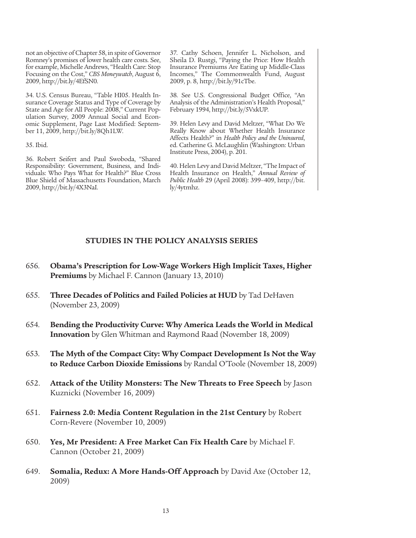not an objective ofChapter 58, in spite of Governor Romney's promises of lower health care costs. See, for example, Michelle Andrews, "Health Care: Stop Focusing on the Cost," *CBS Moneywatch*, August 6, 2009, http://bit.ly/4EfSN0.

34. U.S. Census Bureau, "Table HI05. Health Insurance Coverage Status and Type of Coverage by State and Age for All People: 2008," Current Population Survey, 2009 Annual Social and Economic Supplement, Page Last Modified: September 11, 2009, http://bit.ly/8Qh1LW.

35. Ibid.

36. Robert Seifert and Paul Swoboda, "Shared Responsibility: Government, Business, and Individuals: Who Pays What for Health?" Blue Cross Blue Shield of Massachusetts Foundation, March 2009, http://bit.ly/4X3NaI.

37. Cathy Schoen, Jennifer L. Nicholson, and Sheila D. Rustgi, "Paying the Price: How Health Insurance Premiums Are Eating up Middle-Class Incomes," The Commonwealth Fund, August 2009, p. 8, http://bit.ly/91cTbe.

38. See U.S. Congressional Budget Office, "An Analysis of the Administration's Health Proposal," February 1994, http://bit.ly/5VxkUP.

39. Helen Levy and David Meltzer, "What Do We Really Know about Whether Health Insurance Affects Health?" in *Health Policy and the Uninsured*, ed. Catherine G. McLaughlin (Washington: Urban Institute Press, 2004), p. 201.

40. Helen Levy and David Meltzer, "The Impact of Health Insurance on Health," *Annual Review of Public Health* 29 (April 2008): 399–409, http://bit. ly/4ytmhz.

#### **STUDIES IN THE POLICY ANALYSIS SERIES**

- 656. **Obama's Prescription for Low-Wage Workers High Implicit Taxes, Higher Premiums** by Michael F. Cannon (January 13, 2010)
- 655. **Three Decades of Politics and Failed Policies at HUD** by Tad DeHaven (November 23, 2009)
- 654. **Bending the Productivity Curve: Why America Leads the World in Medical Innovation** by Glen Whitman and Raymond Raad (November 18, 2009)
- 653. **The Myth of the Compact City: Why Compact Development Is Not the Way to Reduce Carbon Dioxide Emissions** by Randal O'Toole (November 18, 2009)
- 652. **Attack of the Utility Monsters: The New Threats to Free Speech** by Jason Kuznicki (November 16, 2009)
- 651. **Fairness 2.0: Media Content Regulation in the 21st Century** by Robert Corn-Revere (November 10, 2009)
- 650. **Yes, Mr President: A Free Market Can Fix Health Care** by Michael F. Cannon (October 21, 2009)
- 649. **Somalia, Redux: A More Hands-Off Approach** by David Axe (October 12, 2009)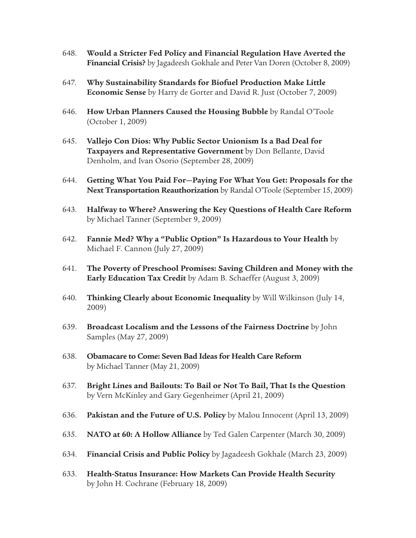- 648. **Would a Stricter Fed Policy and Financial Regulation Have Averted the Financial Crisis?** by Jagadeesh Gokhale and Peter Van Doren (October 8, 2009)
- 647. **Why Sustainability Standards for Biofuel Production Make Little Economic Sense** by Harry de Gorter and David R. Just (October 7, 2009)
- 646. **How Urban Planners Caused the Housing Bubble** by Randal O'Toole (October 1, 2009)
- 645. **Vallejo Con Dios: Why Public Sector Unionism Is a Bad Deal for Taxpayers and Representative Government** by Don Bellante, David Denholm, and Ivan Osorio (September 28, 2009)
- 644. **Getting What You Paid For—Paying For What You Get: Proposals for the Next Transportation Reauthorization** by Randal O'Toole (September 15, 2009)
- 643. **Halfway to Where? Answering the Key Questions of Health Care Reform** by Michael Tanner (September 9, 2009)
- 642. **Fannie Med? Why a "Public Option" Is Hazardous to Your Health** by Michael F. Cannon (July 27, 2009)
- 641. **The Poverty of Preschool Promises: Saving Children and Money with the Early Education Tax Credit** by Adam B. Schaeffer (August 3, 2009)
- 640. **Thinking Clearly about Economic Inequality** by Will Wilkinson (July 14, 2009)
- 639. **Broadcast Localism and the Lessons of the Fairness Doctrine** by John Samples (May 27, 2009)
- 638. **Obamacare to Come: Seven Bad Ideas for Health Care Reform** by Michael Tanner (May 21, 2009)
- 637. **Bright Lines and Bailouts: To Bail or Not To Bail, That Is the Question** by Vern McKinley and Gary Gegenheimer (April 21, 2009)
- 636. **Pakistan and the Future of U.S. Policy** by Malou Innocent (April 13, 2009)
- 635. **NATO at 60: A Hollow Alliance** by Ted Galen Carpenter (March 30, 2009)
- 634. **Financial Crisis and Public Policy** by Jagadeesh Gokhale (March 23, 2009)
- 633. **Health-Status Insurance: How Markets Can Provide Health Security** by John H. Cochrane (February 18, 2009)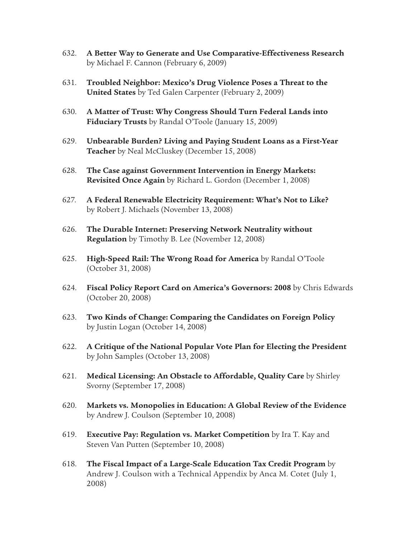- 632. **A Better Way to Generate and Use Comparative-Effectiveness Research** by Michael F. Cannon (February 6, 2009)
- 631. **Troubled Neighbor: Mexico's Drug Violence Poses a Threat to the United States** by Ted Galen Carpenter (February 2, 2009)
- 630. **A Matter of Trust: Why Congress Should Turn Federal Lands into Fiduciary Trusts** by Randal O'Toole (January 15, 2009)
- 629. **Unbearable Burden? Living and Paying Student Loans as a First-Year Teacher** by Neal McCluskey (December 15, 2008)
- 628. **The Case against Government Intervention in Energy Markets: Revisited Once Again** by Richard L. Gordon (December 1, 2008)
- 627. **A Federal Renewable Electricity Requirement: What's Not to Like?** by Robert J. Michaels (November 13, 2008)
- 626. **The Durable Internet: Preserving Network Neutrality without Regulation** by Timothy B. Lee (November 12, 2008)
- 625. **High-Speed Rail: The Wrong Road for America** by Randal O'Toole (October 31, 2008)
- 624. **Fiscal Policy Report Card on America's Governors: 2008** by Chris Edwards (October 20, 2008)
- 623. **Two Kinds of Change: Comparing the Candidates on Foreign Policy** by Justin Logan (October 14, 2008)
- 622. **A Critique of the National Popular Vote Plan for Electing the President** by John Samples (October 13, 2008)
- 621. **Medical Licensing: An Obstacle to Affordable, Quality Care** by Shirley Svorny (September 17, 2008)
- 620. **Markets vs. Monopolies in Education: A Global Review of the Evidence** by Andrew J. Coulson (September 10, 2008)
- 619. **Executive Pay: Regulation vs. Market Competition** by Ira T. Kay and Steven Van Putten (September 10, 2008)
- 618. **The Fiscal Impact of a Large-Scale Education Tax Credit Program** by Andrew J. Coulson with a Technical Appendix by Anca M. Cotet (July 1, 2008)